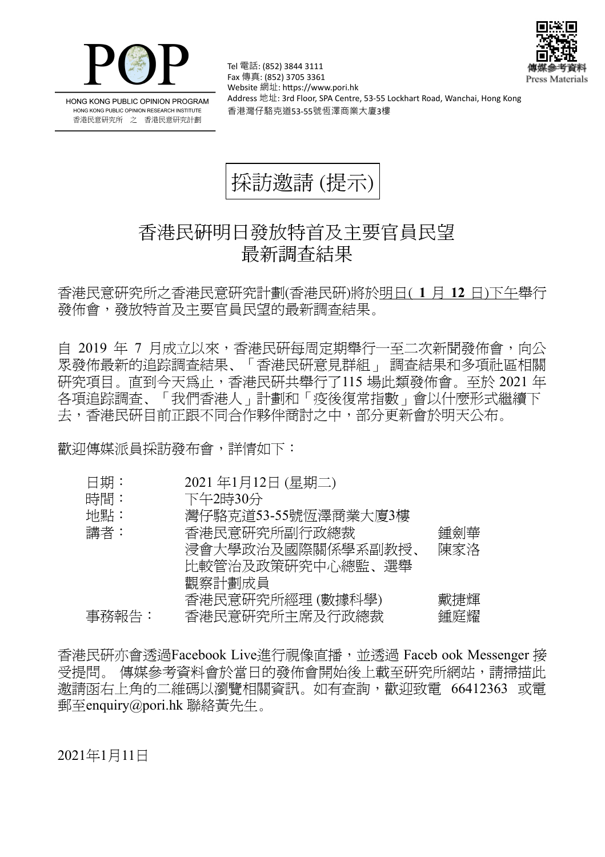



HONG KONG PUBLIC OPINION PROGRAM HONG KONG PUBLIC OPINION RESEARCH INSTITUTE 香港民意研究所 之 香港民意研究計劃

Tel 電話: (852) 3844 3111 Fax 傳真: (852) 3705 3361 Website 網址: https://www.pori.hk Address 地址: 3rd Floor, SPA Centre, 53-55 Lockhart Road, Wanchai, Hong Kong 香港灣仔駱克道53-55號恆澤商業大廈3樓



## 香港民研明日發放特首及主要官員民望 最新調查結果

香港民意研究所之香港民意研究計劃(香港民研)將於明日( **1** 月 **12** 日)下午舉行 發佈會,發放特首及主要官員民望的最新調查結果。

自 2019 年 7 月成立以來,香港民研每周定期舉行一至二次新聞發佈會,向公 眾發佈最新的追踪調查結果、「香港民研意見群組」 調查結果和多項社區相關 研究項目。直到今天為止,香港民研共舉行了115 場此類發佈會。至於 2021 年 各項追踪調查、「我們香港人」計劃和「疫後復常指數」會以什麼形式繼續下 去,香港民研目前正跟不同合作夥伴商討之中,部分更新會於明天公布。

歡迎傳媒派員採訪發布會,詳情如下:

|--|

- 時間: 下午2時30分
- 地點: 灣仔駱克道53-55號恆澤商業大廈3樓

| 講者:   | 香港民意研究所副行政總裁      | 鍾劍華 |
|-------|-------------------|-----|
|       | 浸會大學政治及國際關係學系副教授、 | 陳家洛 |
|       | 比較管治及政策研究中心總監、選舉  |     |
|       | 觀察計劃成員            |     |
|       | 香港民意研究所經理(數據科學)   | 戴捷輝 |
| 事務報告: | 香港民意研究所主席及行政總裁    | 鍾庭耀 |

香港民研亦會透過Facebook Live進行視像直播,並透過 Faceb ook Messenger 接 受提問。 傳媒參考資料會於當日的發佈會開始後上載至研究所網站,請掃描此 邀請函右上角的二維碼以瀏覽相關資訊。如有查詢,歡迎致電 66412363 或電 郵至enquiry@pori.hk 聯絡黃先生。

2021年1月11日